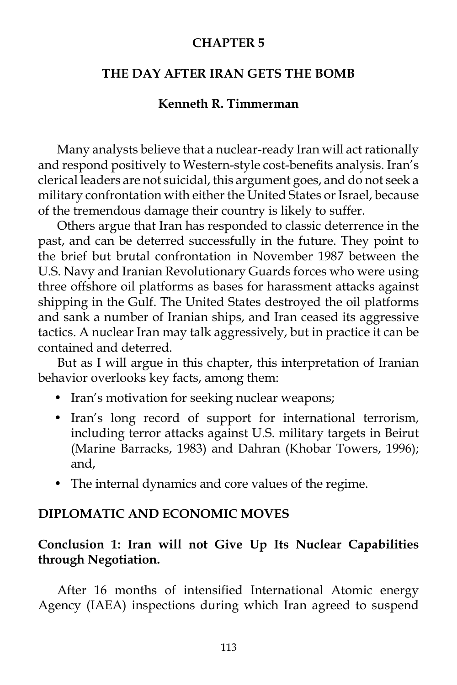#### **CHAPTER 5**

#### **THE DAY AFTER IRAN GETS THE BOMB**

#### **Kenneth R. Timmerman**

 Many analysts believe that a nuclear-ready Iran will act rationally and respond positively to Western-style cost-benefits analysis. Iran's clerical leaders are not suicidal, this argument goes, and do not seek a military confrontation with either the United States or Israel, because of the tremendous damage their country is likely to suffer.

 Others argue that Iran has responded to classic deterrence in the past, and can be deterred successfully in the future. They point to the brief but brutal confrontation in November 1987 between the U.S. Navy and Iranian Revolutionary Guards forces who were using three offshore oil platforms as bases for harassment attacks against shipping in the Gulf. The United States destroyed the oil platforms and sank a number of Iranian ships, and Iran ceased its aggressive tactics. A nuclear Iran may talk aggressively, but in practice it can be contained and deterred.

 But as I will argue in this chapter, this interpretation of Iranian behavior overlooks key facts, among them:

- Iran's motivation for seeking nuclear weapons;
- Iran's long record of support for international terrorism, including terror attacks against U.S. military targets in Beirut (Marine Barracks, 1983) and Dahran (Khobar Towers, 1996); and,
- The internal dynamics and core values of the regime.

## **DIPLOMATIC AND ECONOMIC MOVES**

## **Conclusion 1: Iran will not Give Up Its Nuclear Capabilities through Negotiation.**

 After 16 months of intensified International Atomic energy Agency (IAEA) inspections during which Iran agreed to suspend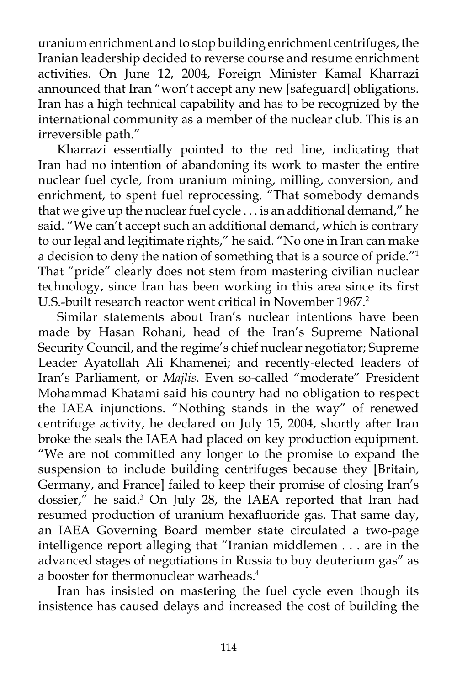uranium enrichment and to stop building enrichment centrifuges, the Iranian leadership decided to reverse course and resume enrichment activities. On June 12, 2004, Foreign Minister Kamal Kharrazi announced that Iran "won't accept any new [safeguard] obligations. Iran has a high technical capability and has to be recognized by the international community as a member of the nuclear club. This is an irreversible path."

 Kharrazi essentially pointed to the red line, indicating that Iran had no intention of abandoning its work to master the entire nuclear fuel cycle, from uranium mining, milling, conversion, and enrichment, to spent fuel reprocessing. "That somebody demands that we give up the nuclear fuel cycle . . . is an additional demand," he said. "We can't accept such an additional demand, which is contrary to our legal and legitimate rights," he said. "No one in Iran can make a decision to deny the nation of something that is a source of pride."<sup>1</sup> That "pride" clearly does not stem from mastering civilian nuclear technology, since Iran has been working in this area since its first U.S.-built research reactor went critical in November 1967.<sup>2</sup>

 Similar statements about Iran's nuclear intentions have been made by Hasan Rohani, head of the Iran's Supreme National Security Council, and the regime's chief nuclear negotiator; Supreme Leader Ayatollah Ali Khamenei; and recently-elected leaders of Iran's Parliament, or *Majlis*. Even so-called "moderate" President Mohammad Khatami said his country had no obligation to respect the IAEA injunctions. "Nothing stands in the way" of renewed centrifuge activity, he declared on July 15, 2004, shortly after Iran broke the seals the IAEA had placed on key production equipment. "We are not committed any longer to the promise to expand the suspension to include building centrifuges because they [Britain, Germany, and France] failed to keep their promise of closing Iran's dossier," he said.<sup>3</sup> On July 28, the IAEA reported that Iran had resumed production of uranium hexafluoride gas. That same day, an IAEA Governing Board member state circulated a two-page intelligence report alleging that "Iranian middlemen . . . are in the advanced stages of negotiations in Russia to buy deuterium gas" as a booster for thermonuclear warheads.<sup>4</sup>

 Iran has insisted on mastering the fuel cycle even though its insistence has caused delays and increased the cost of building the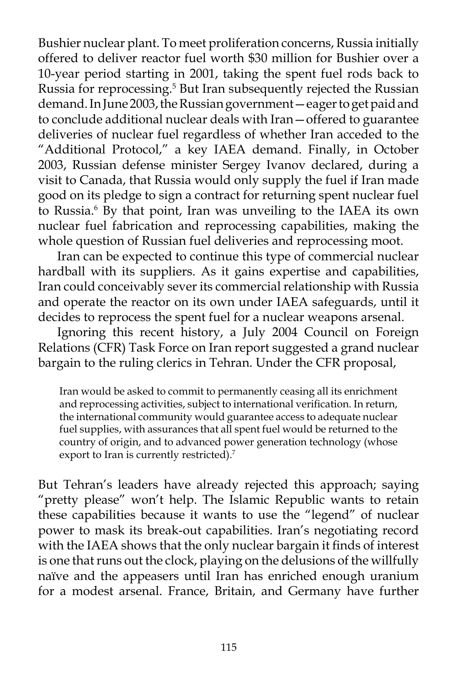Bushier nuclear plant. To meet proliferation concerns, Russia initially offered to deliver reactor fuel worth \$30 million for Bushier over a 10-year period starting in 2001, taking the spent fuel rods back to Russia for reprocessing.<sup>5</sup> But Iran subsequently rejected the Russian demand. In June 2003, the Russian government—eager to get paid and to conclude additional nuclear deals with Iran—offered to guarantee deliveries of nuclear fuel regardless of whether Iran acceded to the "Additional Protocol," a key IAEA demand. Finally, in October 2003, Russian defense minister Sergey Ivanov declared, during a visit to Canada, that Russia would only supply the fuel if Iran made good on its pledge to sign a contract for returning spent nuclear fuel to Russia.<sup>6</sup> By that point, Iran was unveiling to the IAEA its own nuclear fuel fabrication and reprocessing capabilities, making the whole question of Russian fuel deliveries and reprocessing moot.

 Iran can be expected to continue this type of commercial nuclear hardball with its suppliers. As it gains expertise and capabilities, Iran could conceivably sever its commercial relationship with Russia and operate the reactor on its own under IAEA safeguards, until it decides to reprocess the spent fuel for a nuclear weapons arsenal.

 Ignoring this recent history, a July 2004 Council on Foreign Relations (CFR) Task Force on Iran report suggested a grand nuclear bargain to the ruling clerics in Tehran. Under the CFR proposal,

Iran would be asked to commit to permanently ceasing all its enrichment and reprocessing activities, subject to international verification. In return, the international community would guarantee access to adequate nuclear fuel supplies, with assurances that all spent fuel would be returned to the country of origin, and to advanced power generation technology (whose export to Iran is currently restricted).<sup>7</sup>

But Tehran's leaders have already rejected this approach; saying "pretty please" won't help. The Islamic Republic wants to retain these capabilities because it wants to use the "legend" of nuclear power to mask its break-out capabilities. Iran's negotiating record with the IAEA shows that the only nuclear bargain it finds of interest is one that runs out the clock, playing on the delusions of the willfully naïve and the appeasers until Iran has enriched enough uranium for a modest arsenal. France, Britain, and Germany have further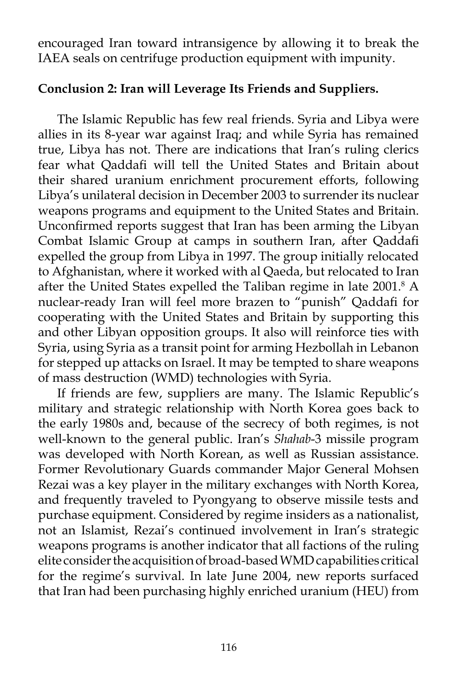encouraged Iran toward intransigence by allowing it to break the IAEA seals on centrifuge production equipment with impunity.

#### **Conclusion 2: Iran will Leverage Its Friends and Suppliers.**

 The Islamic Republic has few real friends. Syria and Libya were allies in its 8-year war against Iraq; and while Syria has remained true, Libya has not. There are indications that Iran's ruling clerics fear what Qaddafi will tell the United States and Britain about their shared uranium enrichment procurement efforts, following Libya's unilateral decision in December 2003 to surrender its nuclear weapons programs and equipment to the United States and Britain. Unconfirmed reports suggest that Iran has been arming the Libyan Combat Islamic Group at camps in southern Iran, after Qaddafi expelled the group from Libya in 1997. The group initially relocated to Afghanistan, where it worked with al Qaeda, but relocated to Iran after the United States expelled the Taliban regime in late  $2001$ .<sup>8</sup> A nuclear-ready Iran will feel more brazen to "punish" Qaddafi for cooperating with the United States and Britain by supporting this and other Libyan opposition groups. It also will reinforce ties with Syria, using Syria as a transit point for arming Hezbollah in Lebanon for stepped up attacks on Israel. It may be tempted to share weapons of mass destruction (WMD) technologies with Syria.

 If friends are few, suppliers are many. The Islamic Republic's military and strategic relationship with North Korea goes back to the early 1980s and, because of the secrecy of both regimes, is not well-known to the general public. Iran's *Shahab*-3 missile program was developed with North Korean, as well as Russian assistance. Former Revolutionary Guards commander Major General Mohsen Rezai was a key player in the military exchanges with North Korea, and frequently traveled to Pyongyang to observe missile tests and purchase equipment. Considered by regime insiders as a nationalist, not an Islamist, Rezai's continued involvement in Iran's strategic weapons programs is another indicator that all factions of the ruling elite consider the acquisition of broad-based WMD capabilities critical for the regime's survival. In late June 2004, new reports surfaced that Iran had been purchasing highly enriched uranium (HEU) from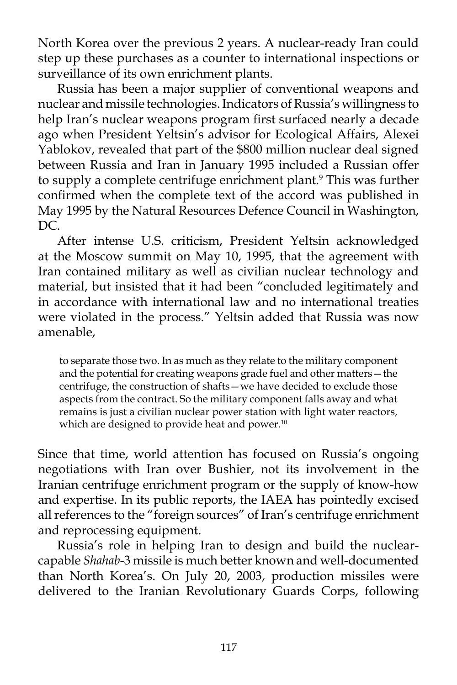North Korea over the previous 2 years. A nuclear-ready Iran could step up these purchases as a counter to international inspections or surveillance of its own enrichment plants.

 Russia has been a major supplier of conventional weapons and nuclear and missile technologies. Indicators of Russia's willingness to help Iran's nuclear weapons program first surfaced nearly a decade ago when President Yeltsin's advisor for Ecological Affairs, Alexei Yablokov, revealed that part of the \$800 million nuclear deal signed between Russia and Iran in January 1995 included a Russian offer to supply a complete centrifuge enrichment plant.<sup>9</sup> This was further confirmed when the complete text of the accord was published in May 1995 by the Natural Resources Defence Council in Washington, DC.

 After intense U.S. criticism, President Yeltsin acknowledged at the Moscow summit on May 10, 1995, that the agreement with Iran contained military as well as civilian nuclear technology and material, but insisted that it had been "concluded legitimately and in accordance with international law and no international treaties were violated in the process." Yeltsin added that Russia was now amenable,

to separate those two. In as much as they relate to the military component and the potential for creating weapons grade fuel and other matters—the centrifuge, the construction of shafts—we have decided to exclude those aspects from the contract. So the military component falls away and what remains is just a civilian nuclear power station with light water reactors, which are designed to provide heat and power.<sup>10</sup>

Since that time, world attention has focused on Russia's ongoing negotiations with Iran over Bushier, not its involvement in the Iranian centrifuge enrichment program or the supply of know-how and expertise. In its public reports, the IAEA has pointedly excised all references to the "foreign sources" of Iran's centrifuge enrichment and reprocessing equipment.

 Russia's role in helping Iran to design and build the nuclearcapable *Shahab*-3 missile is much better known and well-documented than North Korea's. On July 20, 2003, production missiles were delivered to the Iranian Revolutionary Guards Corps, following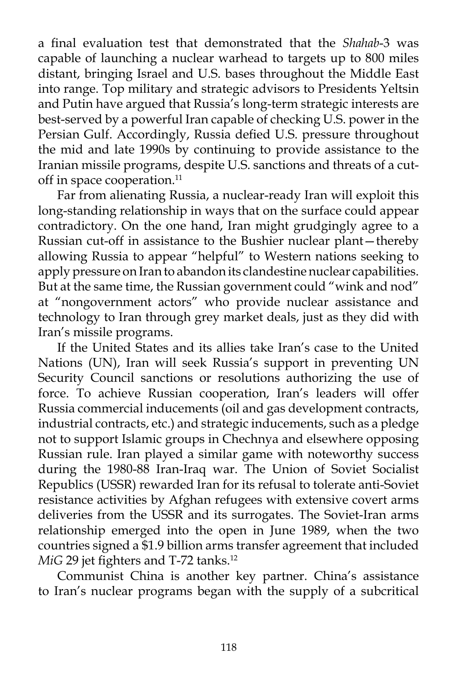a final evaluation test that demonstrated that the *Shahab*-3 was capable of launching a nuclear warhead to targets up to 800 miles distant, bringing Israel and U.S. bases throughout the Middle East into range. Top military and strategic advisors to Presidents Yeltsin and Putin have argued that Russia's long-term strategic interests are best-served by a powerful Iran capable of checking U.S. power in the Persian Gulf. Accordingly, Russia defied U.S. pressure throughout the mid and late 1990s by continuing to provide assistance to the Iranian missile programs, despite U.S. sanctions and threats of a cutoff in space cooperation.<sup>11</sup>

 Far from alienating Russia, a nuclear-ready Iran will exploit this long-standing relationship in ways that on the surface could appear contradictory. On the one hand, Iran might grudgingly agree to a Russian cut-off in assistance to the Bushier nuclear plant—thereby allowing Russia to appear "helpful" to Western nations seeking to apply pressure on Iran to abandon its clandestine nuclear capabilities. But at the same time, the Russian government could "wink and nod" at "nongovernment actors" who provide nuclear assistance and technology to Iran through grey market deals, just as they did with Iran's missile programs.

 If the United States and its allies take Iran's case to the United Nations (UN), Iran will seek Russia's support in preventing UN Security Council sanctions or resolutions authorizing the use of force. To achieve Russian cooperation, Iran's leaders will offer Russia commercial inducements (oil and gas development contracts, industrial contracts, etc.) and strategic inducements, such as a pledge not to support Islamic groups in Chechnya and elsewhere opposing Russian rule. Iran played a similar game with noteworthy success during the 1980-88 Iran-Iraq war. The Union of Soviet Socialist Republics (USSR) rewarded Iran for its refusal to tolerate anti-Soviet resistance activities by Afghan refugees with extensive covert arms deliveries from the USSR and its surrogates. The Soviet-Iran arms relationship emerged into the open in June 1989, when the two countries signed a \$1.9 billion arms transfer agreement that included *MiG* 29 jet fighters and T-72 tanks.<sup>12</sup>

 Communist China is another key partner. China's assistance to Iran's nuclear programs began with the supply of a subcritical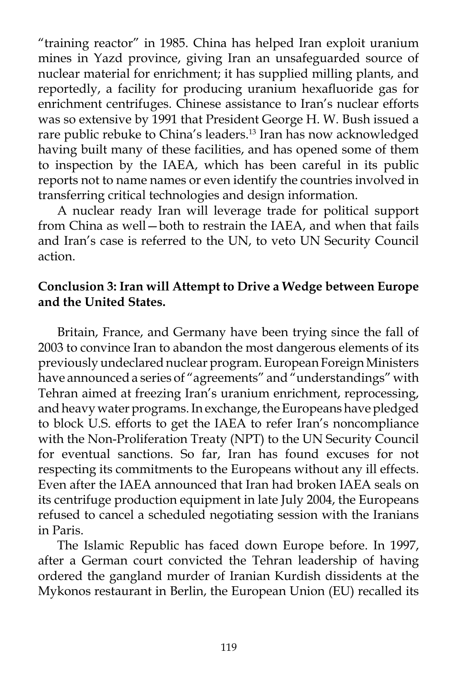"training reactor" in 1985. China has helped Iran exploit uranium mines in Yazd province, giving Iran an unsafeguarded source of nuclear material for enrichment; it has supplied milling plants, and reportedly, a facility for producing uranium hexafluoride gas for enrichment centrifuges. Chinese assistance to Iran's nuclear efforts was so extensive by 1991 that President George H. W. Bush issued a rare public rebuke to China's leaders.<sup>13</sup> Iran has now acknowledged having built many of these facilities, and has opened some of them to inspection by the IAEA, which has been careful in its public reports not to name names or even identify the countries involved in transferring critical technologies and design information.

 A nuclear ready Iran will leverage trade for political support from China as well—both to restrain the IAEA, and when that fails and Iran's case is referred to the UN, to veto UN Security Council action.

#### **Conclusion 3: Iran will Attempt to Drive a Wedge between Europe and the United States.**

 Britain, France, and Germany have been trying since the fall of 2003 to convince Iran to abandon the most dangerous elements of its previously undeclared nuclear program. European Foreign Ministers have announced a series of "agreements" and "understandings" with Tehran aimed at freezing Iran's uranium enrichment, reprocessing, and heavy water programs. In exchange, the Europeans have pledged to block U.S. efforts to get the IAEA to refer Iran's noncompliance with the Non-Proliferation Treaty (NPT) to the UN Security Council for eventual sanctions. So far, Iran has found excuses for not respecting its commitments to the Europeans without any ill effects. Even after the IAEA announced that Iran had broken IAEA seals on its centrifuge production equipment in late July 2004, the Europeans refused to cancel a scheduled negotiating session with the Iranians in Paris.

 The Islamic Republic has faced down Europe before. In 1997, after a German court convicted the Tehran leadership of having ordered the gangland murder of Iranian Kurdish dissidents at the Mykonos restaurant in Berlin, the European Union (EU) recalled its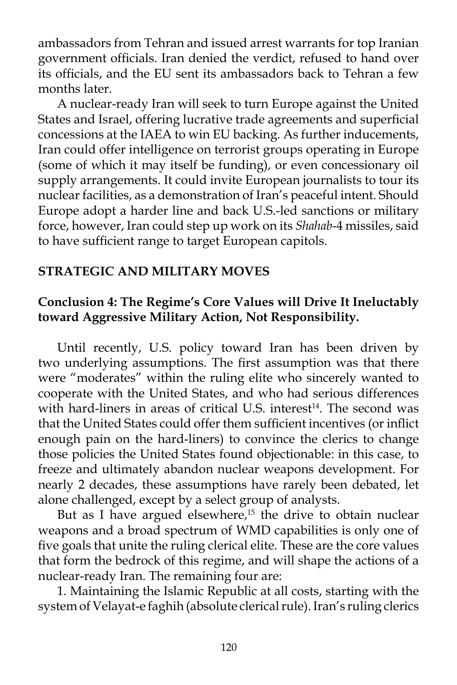ambassadors from Tehran and issued arrest warrants for top Iranian government officials. Iran denied the verdict, refused to hand over its officials, and the EU sent its ambassadors back to Tehran a few months later.

 A nuclear-ready Iran will seek to turn Europe against the United States and Israel, offering lucrative trade agreements and superficial concessions at the IAEA to win EU backing. As further inducements, Iran could offer intelligence on terrorist groups operating in Europe (some of which it may itself be funding), or even concessionary oil supply arrangements. It could invite European journalists to tour its nuclear facilities, as a demonstration of Iran's peaceful intent. Should Europe adopt a harder line and back U.S.-led sanctions or military force, however, Iran could step up work on its *Shahab*-4 missiles, said to have sufficient range to target European capitols.

## **STRATEGIC AND MILITARY MOVES**

# **Conclusion 4: The Regime's Core Values will Drive It Ineluctably toward Aggressive Military Action, Not Responsibility.**

 Until recently, U.S. policy toward Iran has been driven by two underlying assumptions. The first assumption was that there were "moderates" within the ruling elite who sincerely wanted to cooperate with the United States, and who had serious differences with hard-liners in areas of critical U.S. interest<sup>14</sup>. The second was that the United States could offer them sufficient incentives (or inflict enough pain on the hard-liners) to convince the clerics to change those policies the United States found objectionable: in this case, to freeze and ultimately abandon nuclear weapons development. For nearly 2 decades, these assumptions have rarely been debated, let alone challenged, except by a select group of analysts.

But as I have argued elsewhere, $15$  the drive to obtain nuclear weapons and a broad spectrum of WMD capabilities is only one of five goals that unite the ruling clerical elite. These are the core values that form the bedrock of this regime, and will shape the actions of a nuclear-ready Iran. The remaining four are:

 1. Maintaining the Islamic Republic at all costs, starting with the system of Velayat-e faghih (absolute clerical rule). Iran's ruling clerics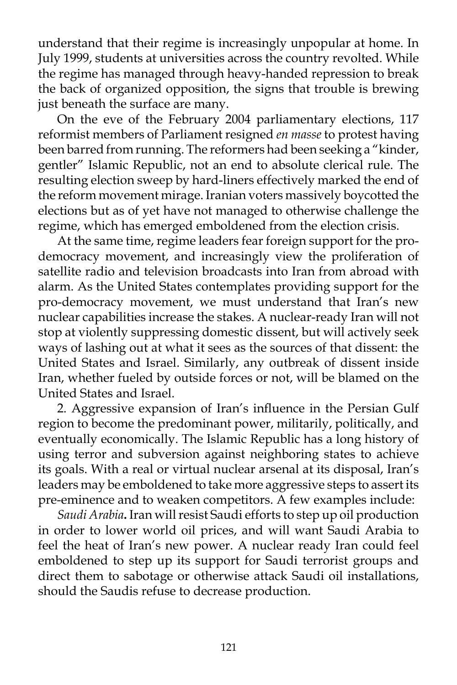understand that their regime is increasingly unpopular at home. In July 1999, students at universities across the country revolted. While the regime has managed through heavy-handed repression to break the back of organized opposition, the signs that trouble is brewing just beneath the surface are many.

 On the eve of the February 2004 parliamentary elections, 117 reformist members of Parliament resigned *en masse* to protest having been barred from running. The reformers had been seeking a "kinder, gentler" Islamic Republic, not an end to absolute clerical rule. The resulting election sweep by hard-liners effectively marked the end of the reform movement mirage. Iranian voters massively boycotted the elections but as of yet have not managed to otherwise challenge the regime, which has emerged emboldened from the election crisis.

 At the same time, regime leaders fear foreign support for the prodemocracy movement, and increasingly view the proliferation of satellite radio and television broadcasts into Iran from abroad with alarm. As the United States contemplates providing support for the pro-democracy movement, we must understand that Iran's new nuclear capabilities increase the stakes. A nuclear-ready Iran will not stop at violently suppressing domestic dissent, but will actively seek ways of lashing out at what it sees as the sources of that dissent: the United States and Israel. Similarly, any outbreak of dissent inside Iran, whether fueled by outside forces or not, will be blamed on the United States and Israel.

 2. Aggressive expansion of Iran's influence in the Persian Gulf region to become the predominant power, militarily, politically, and eventually economically. The Islamic Republic has a long history of using terror and subversion against neighboring states to achieve its goals. With a real or virtual nuclear arsenal at its disposal, Iran's leaders may be emboldened to take more aggressive steps to assert its pre-eminence and to weaken competitors. A few examples include:

*Saudi Arabia***.** Iran will resist Saudi efforts to step up oil production in order to lower world oil prices, and will want Saudi Arabia to feel the heat of Iran's new power. A nuclear ready Iran could feel emboldened to step up its support for Saudi terrorist groups and direct them to sabotage or otherwise attack Saudi oil installations, should the Saudis refuse to decrease production.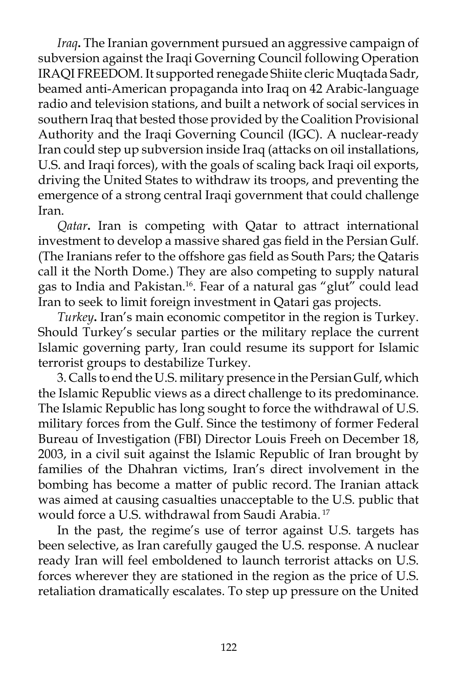*Iraq***.** The Iranian government pursued an aggressive campaign of subversion against the Iraqi Governing Council following Operation IRAQI FREEDOM. It supported renegade Shiite cleric Muqtada Sadr, beamed anti-American propaganda into Iraq on 42 Arabic-language radio and television stations, and built a network of social services in southern Iraq that bested those provided by the Coalition Provisional Authority and the Iraqi Governing Council (IGC). A nuclear-ready Iran could step up subversion inside Iraq (attacks on oil installations, U.S. and Iraqi forces), with the goals of scaling back Iraqi oil exports, driving the United States to withdraw its troops, and preventing the emergence of a strong central Iraqi government that could challenge Iran.

*Qatar***.** Iran is competing with Qatar to attract international investment to develop a massive shared gas field in the Persian Gulf. (The Iranians refer to the offshore gas field as South Pars; the Qataris call it the North Dome.) They are also competing to supply natural gas to India and Pakistan.<sup>16</sup>. Fear of a natural gas "glut" could lead Iran to seek to limit foreign investment in Qatari gas projects.

*Turkey***.** Iran's main economic competitor in the region is Turkey. Should Turkey's secular parties or the military replace the current Islamic governing party, Iran could resume its support for Islamic terrorist groups to destabilize Turkey.

3. Calls to end the U.S. military presence in the Persian Gulf, which the Islamic Republic views as a direct challenge to its predominance. The Islamic Republic has long sought to force the withdrawal of U.S. military forces from the Gulf. Since the testimony of former Federal Bureau of Investigation (FBI) Director Louis Freeh on December 18, 2003, in a civil suit against the Islamic Republic of Iran brought by families of the Dhahran victims, Iran's direct involvement in the bombing has become a matter of public record. The Iranian attack was aimed at causing casualties unacceptable to the U.S. public that would force a U.S. withdrawal from Saudi Arabia. 17

 In the past, the regime's use of terror against U.S. targets has been selective, as Iran carefully gauged the U.S. response. A nuclear ready Iran will feel emboldened to launch terrorist attacks on U.S. forces wherever they are stationed in the region as the price of U.S. retaliation dramatically escalates. To step up pressure on the United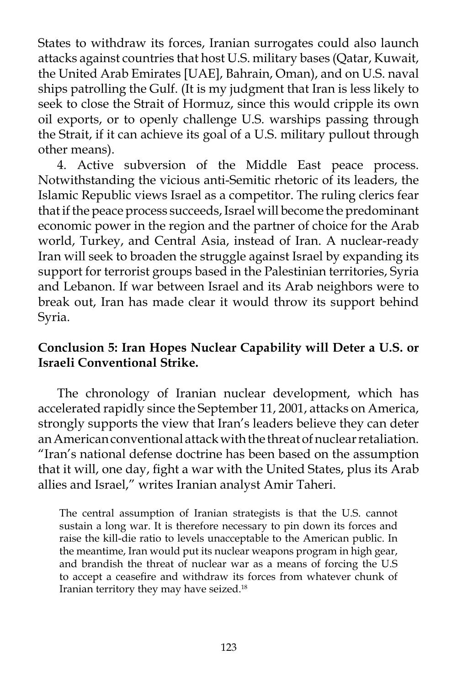States to withdraw its forces, Iranian surrogates could also launch attacks against countries that host U.S. military bases (Qatar, Kuwait, the United Arab Emirates [UAE], Bahrain, Oman), and on U.S. naval ships patrolling the Gulf. (It is my judgment that Iran is less likely to seek to close the Strait of Hormuz, since this would cripple its own oil exports, or to openly challenge U.S. warships passing through the Strait, if it can achieve its goal of a U.S. military pullout through other means).

4. Active subversion of the Middle East peace process. Notwithstanding the vicious anti-Semitic rhetoric of its leaders, the Islamic Republic views Israel as a competitor. The ruling clerics fear that if the peace process succeeds, Israel will become the predominant economic power in the region and the partner of choice for the Arab world, Turkey, and Central Asia, instead of Iran. A nuclear-ready Iran will seek to broaden the struggle against Israel by expanding its support for terrorist groups based in the Palestinian territories, Syria and Lebanon. If war between Israel and its Arab neighbors were to break out, Iran has made clear it would throw its support behind Syria.

## **Conclusion 5: Iran Hopes Nuclear Capability will Deter a U.S. or Israeli Conventional Strike.**

 The chronology of Iranian nuclear development, which has accelerated rapidly since the September 11, 2001, attacks on America, strongly supports the view that Iran's leaders believe they can deter an American conventional attack with the threat of nuclear retaliation. "Iran's national defense doctrine has been based on the assumption that it will, one day, fight a war with the United States, plus its Arab allies and Israel," writes Iranian analyst Amir Taheri.

The central assumption of Iranian strategists is that the U.S. cannot sustain a long war. It is therefore necessary to pin down its forces and raise the kill-die ratio to levels unacceptable to the American public. In the meantime, Iran would put its nuclear weapons program in high gear, and brandish the threat of nuclear war as a means of forcing the U.S to accept a ceasefire and withdraw its forces from whatever chunk of Iranian territory they may have seized.18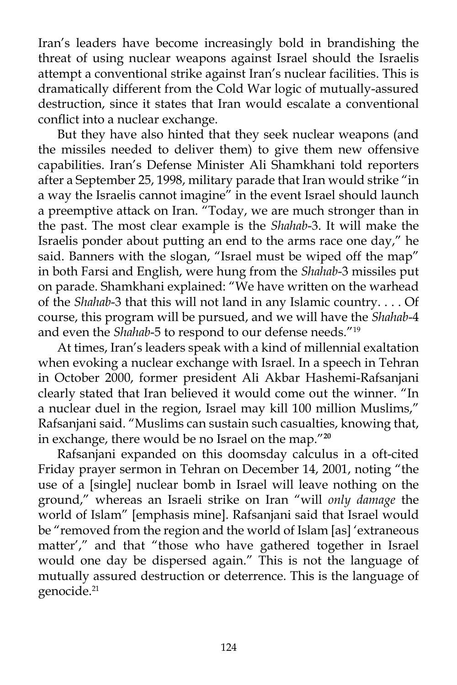Iran's leaders have become increasingly bold in brandishing the threat of using nuclear weapons against Israel should the Israelis attempt a conventional strike against Iran's nuclear facilities. This is dramatically different from the Cold War logic of mutually-assured destruction, since it states that Iran would escalate a conventional conflict into a nuclear exchange.

 But they have also hinted that they seek nuclear weapons (and the missiles needed to deliver them) to give them new offensive capabilities. Iran's Defense Minister Ali Shamkhani told reporters after a September 25, 1998, military parade that Iran would strike "in a way the Israelis cannot imagine" in the event Israel should launch a preemptive attack on Iran. "Today, we are much stronger than in the past. The most clear example is the *Shahab*-3. It will make the Israelis ponder about putting an end to the arms race one day," he said. Banners with the slogan, "Israel must be wiped off the map" in both Farsi and English, were hung from the *Shahab*-3 missiles put on parade. Shamkhani explained: "We have written on the warhead of the *Shahab*-3 that this will not land in any Islamic country. . . . Of course, this program will be pursued, and we will have the *Shahab*-4 and even the *Shahab*-5 to respond to our defense needs."19

 At times, Iran's leaders speak with a kind of millennial exaltation when evoking a nuclear exchange with Israel. In a speech in Tehran in October 2000, former president Ali Akbar Hashemi-Rafsanjani clearly stated that Iran believed it would come out the winner. "In a nuclear duel in the region, Israel may kill 100 million Muslims," Rafsanjani said. "Muslims can sustain such casualties, knowing that, in exchange, there would be no Israel on the map."**<sup>20</sup>**

 Rafsanjani expanded on this doomsday calculus in a oft-cited Friday prayer sermon in Tehran on December 14, 2001, noting "the use of a [single] nuclear bomb in Israel will leave nothing on the ground," whereas an Israeli strike on Iran "will *only damage* the world of Islam" [emphasis mine]. Rafsanjani said that Israel would be "removed from the region and the world of Islam [as] 'extraneous matter'," and that "those who have gathered together in Israel would one day be dispersed again." This is not the language of mutually assured destruction or deterrence. This is the language of genocide.<sup>21</sup>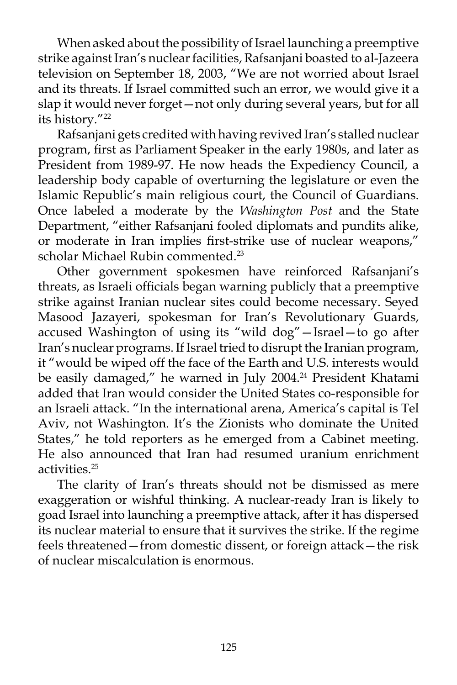When asked about the possibility of Israel launching a preemptive strike against Iran's nuclear facilities, Rafsanjani boasted to al-Jazeera television on September 18, 2003, "We are not worried about Israel and its threats. If Israel committed such an error, we would give it a slap it would never forget—not only during several years, but for all its history."22

 Rafsanjani gets credited with having revived Iran's stalled nuclear program, first as Parliament Speaker in the early 1980s, and later as President from 1989-97. He now heads the Expediency Council, a leadership body capable of overturning the legislature or even the Islamic Republic's main religious court, the Council of Guardians. Once labeled a moderate by the *Washington Post* and the State Department, "either Rafsanjani fooled diplomats and pundits alike, or moderate in Iran implies first-strike use of nuclear weapons," scholar Michael Rubin commented.<sup>23</sup>

 Other government spokesmen have reinforced Rafsanjani's threats, as Israeli officials began warning publicly that a preemptive strike against Iranian nuclear sites could become necessary. Seyed Masood Jazayeri, spokesman for Iran's Revolutionary Guards, accused Washington of using its "wild dog"—Israel—to go after Iran's nuclear programs. If Israel tried to disrupt the Iranian program, it "would be wiped off the face of the Earth and U.S. interests would be easily damaged," he warned in July 2004.<sup>24</sup> President Khatami added that Iran would consider the United States co-responsible for an Israeli attack. "In the international arena, America's capital is Tel Aviv, not Washington. It's the Zionists who dominate the United States," he told reporters as he emerged from a Cabinet meeting. He also announced that Iran had resumed uranium enrichment activities.25

 The clarity of Iran's threats should not be dismissed as mere exaggeration or wishful thinking. A nuclear-ready Iran is likely to goad Israel into launching a preemptive attack, after it has dispersed its nuclear material to ensure that it survives the strike. If the regime feels threatened—from domestic dissent, or foreign attack—the risk of nuclear miscalculation is enormous.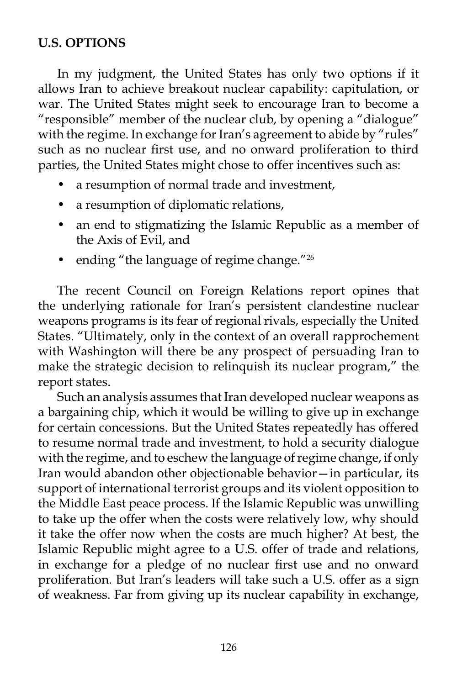## **U.S. OPTIONS**

 In my judgment, the United States has only two options if it allows Iran to achieve breakout nuclear capability: capitulation, or war. The United States might seek to encourage Iran to become a "responsible" member of the nuclear club, by opening a "dialogue" with the regime. In exchange for Iran's agreement to abide by "rules" such as no nuclear first use, and no onward proliferation to third parties, the United States might chose to offer incentives such as:

- a resumption of normal trade and investment,
- a resumption of diplomatic relations,
- an end to stigmatizing the Islamic Republic as a member of the Axis of Evil, and
- ending "the language of regime change."<sup>26</sup>

 The recent Council on Foreign Relations report opines that the underlying rationale for Iran's persistent clandestine nuclear weapons programs is its fear of regional rivals, especially the United States. "Ultimately, only in the context of an overall rapprochement with Washington will there be any prospect of persuading Iran to make the strategic decision to relinquish its nuclear program," the report states.

 Such an analysis assumes that Iran developed nuclear weapons as a bargaining chip, which it would be willing to give up in exchange for certain concessions. But the United States repeatedly has offered to resume normal trade and investment, to hold a security dialogue with the regime, and to eschew the language of regime change, if only Iran would abandon other objectionable behavior—in particular, its support of international terrorist groups and its violent opposition to the Middle East peace process. If the Islamic Republic was unwilling to take up the offer when the costs were relatively low, why should it take the offer now when the costs are much higher? At best, the Islamic Republic might agree to a U.S. offer of trade and relations, in exchange for a pledge of no nuclear first use and no onward proliferation. But Iran's leaders will take such a U.S. offer as a sign of weakness. Far from giving up its nuclear capability in exchange,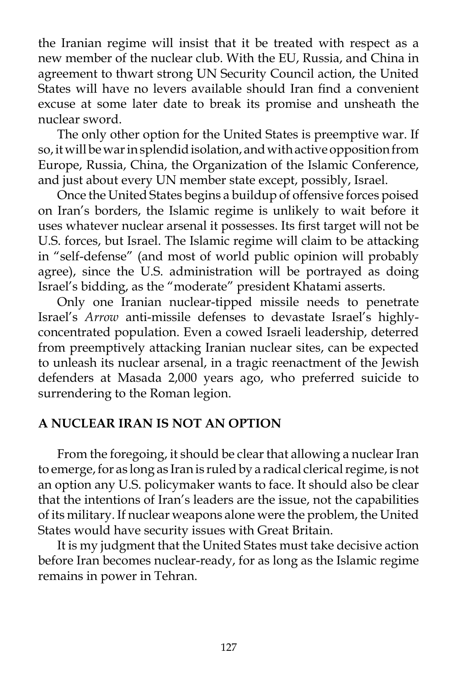the Iranian regime will insist that it be treated with respect as a new member of the nuclear club. With the EU, Russia, and China in agreement to thwart strong UN Security Council action, the United States will have no levers available should Iran find a convenient excuse at some later date to break its promise and unsheath the nuclear sword.

 The only other option for the United States is preemptive war. If so, it will be war in splendid isolation, and with active opposition from Europe, Russia, China, the Organization of the Islamic Conference, and just about every UN member state except, possibly, Israel.

 Once the United States begins a buildup of offensive forces poised on Iran's borders, the Islamic regime is unlikely to wait before it uses whatever nuclear arsenal it possesses. Its first target will not be U.S. forces, but Israel. The Islamic regime will claim to be attacking in "self-defense" (and most of world public opinion will probably agree), since the U.S. administration will be portrayed as doing Israel's bidding, as the "moderate" president Khatami asserts.

 Only one Iranian nuclear-tipped missile needs to penetrate Israel's *Arrow* anti-missile defenses to devastate Israel's highlyconcentrated population. Even a cowed Israeli leadership, deterred from preemptively attacking Iranian nuclear sites, can be expected to unleash its nuclear arsenal, in a tragic reenactment of the Jewish defenders at Masada 2,000 years ago, who preferred suicide to surrendering to the Roman legion.

## **A NUCLEAR IRAN IS NOT AN OPTION**

 From the foregoing, it should be clear that allowing a nuclear Iran to emerge, for as long as Iran is ruled by a radical clerical regime, is not an option any U.S. policymaker wants to face. It should also be clear that the intentions of Iran's leaders are the issue, not the capabilities of its military. If nuclear weapons alone were the problem, the United States would have security issues with Great Britain.

 It is my judgment that the United States must take decisive action before Iran becomes nuclear-ready, for as long as the Islamic regime remains in power in Tehran.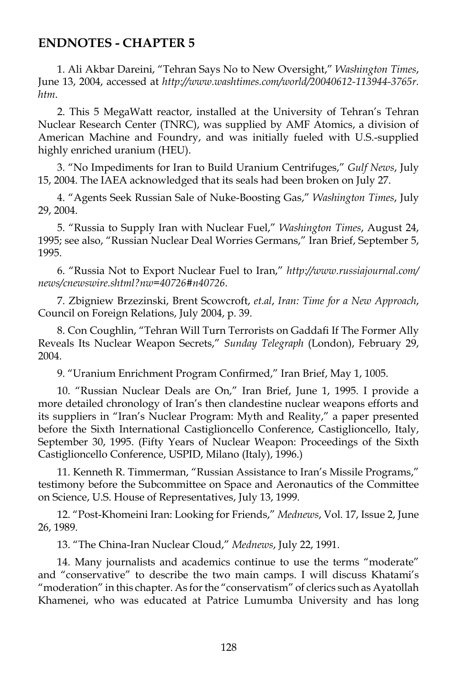#### **ENDNOTES - CHAPTER 5**

 1. Ali Akbar Dareini, "Tehran Says No to New Oversight," *Washington Times*, June 13, 2004, accessed at *http://www.washtimes.com/world/20040612-113944-3765r. htm*.

 2. This 5 MegaWatt reactor, installed at the University of Tehran's Tehran Nuclear Research Center (TNRC), was supplied by AMF Atomics, a division of American Machine and Foundry, and was initially fueled with U.S.-supplied highly enriched uranium (HEU).

 3. "No Impediments for Iran to Build Uranium Centrifuges," *Gulf News*, July 15, 2004. The IAEA acknowledged that its seals had been broken on July 27.

 4. "Agents Seek Russian Sale of Nuke-Boosting Gas," *Washington Times*, July 29, 2004.

 5. "Russia to Supply Iran with Nuclear Fuel," *Washington Times*, August 24, 1995; see also, "Russian Nuclear Deal Worries Germans," Iran Brief, September 5, 1995.

 6. "Russia Not to Export Nuclear Fuel to Iran," *http://www.russiajournal.com/ news/cnewswire.shtml?nw=40726#n40726*.

7. Zbigniew Brzezinski, Brent Scowcroft, *et.al*, *Iran: Time for a New Approach*, Council on Foreign Relations, July 2004, p. 39.

 8. Con Coughlin, "Tehran Will Turn Terrorists on Gaddafi If The Former Ally Reveals Its Nuclear Weapon Secrets," *Sunday Telegraph* (London), February 29, 2004.

9. "Uranium Enrichment Program Confirmed," Iran Brief, May 1, 1005.

 10. "Russian Nuclear Deals are On," Iran Brief, June 1, 1995. I provide a more detailed chronology of Iran's then clandestine nuclear weapons efforts and its suppliers in "Iran's Nuclear Program: Myth and Reality," a paper presented before the Sixth International Castiglioncello Conference, Castiglioncello, Italy, September 30, 1995. (Fifty Years of Nuclear Weapon: Proceedings of the Sixth Castiglioncello Conference, USPID, Milano (Italy), 1996.)

 11. Kenneth R. Timmerman, "Russian Assistance to Iran's Missile Programs," testimony before the Subcommittee on Space and Aeronautics of the Committee on Science, U.S. House of Representatives, July 13, 1999.

 12. "Post-Khomeini Iran: Looking for Friends," *Mednews*, Vol. 17, Issue 2, June 26, 1989.

13. "The China-Iran Nuclear Cloud," *Mednews*, July 22, 1991.

 14. Many journalists and academics continue to use the terms "moderate" and "conservative" to describe the two main camps. I will discuss Khatami's "moderation" in this chapter. As for the "conservatism" of clerics such as Ayatollah Khamenei, who was educated at Patrice Lumumba University and has long